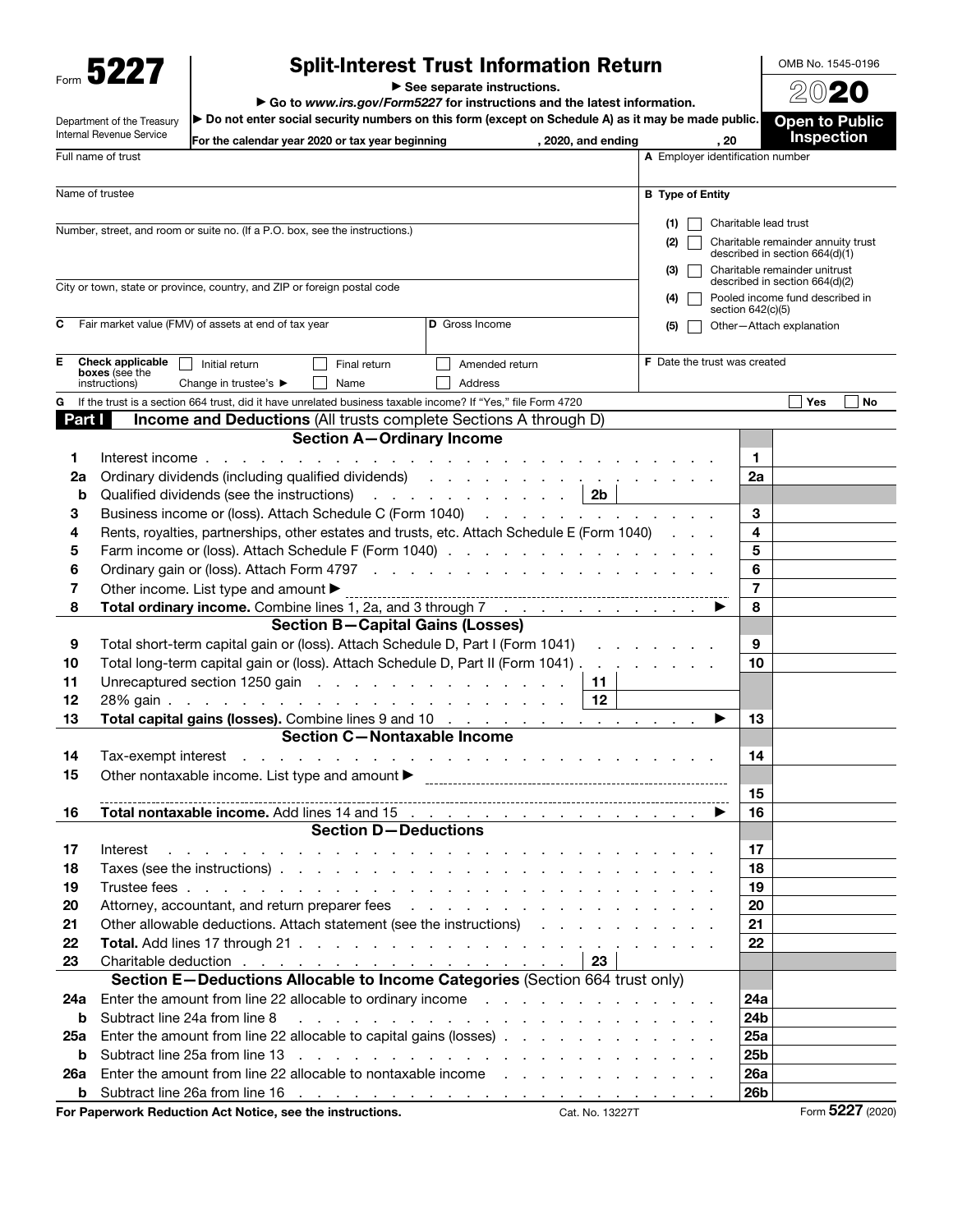Form 5227

Department of the Treasury

## Split-Interest Trust Information Return

▶ See separate instructions.

▶ Go to *www.irs.gov/Form5227* for instructions and the latest information.

▶ Do not enter social security numbers on this form (except on Schedule A) as it may be made public.

2020 **Open to Public** 

OMB No. 1545-0196

|            | Internal Revenue Service        | For the calendar year 2020 or tax year beginning                                                                                                                                                                               | , 2020, and ending                                                                                                                                                                                                             |                                     | , 20                               | <b>Inspection</b>                                               |    |
|------------|---------------------------------|--------------------------------------------------------------------------------------------------------------------------------------------------------------------------------------------------------------------------------|--------------------------------------------------------------------------------------------------------------------------------------------------------------------------------------------------------------------------------|-------------------------------------|------------------------------------|-----------------------------------------------------------------|----|
|            | Full name of trust              |                                                                                                                                                                                                                                |                                                                                                                                                                                                                                | A Employer identification number    |                                    |                                                                 |    |
|            | Name of trustee                 |                                                                                                                                                                                                                                |                                                                                                                                                                                                                                | <b>B</b> Type of Entity             |                                    |                                                                 |    |
|            |                                 |                                                                                                                                                                                                                                |                                                                                                                                                                                                                                | (1)                                 | Charitable lead trust              |                                                                 |    |
|            |                                 | Number, street, and room or suite no. (If a P.O. box, see the instructions.)                                                                                                                                                   | (2)                                                                                                                                                                                                                            |                                     | Charitable remainder annuity trust |                                                                 |    |
|            |                                 |                                                                                                                                                                                                                                |                                                                                                                                                                                                                                |                                     |                                    | described in section 664(d)(1)                                  |    |
|            |                                 |                                                                                                                                                                                                                                |                                                                                                                                                                                                                                | (3)                                 |                                    | Charitable remainder unitrust<br>described in section 664(d)(2) |    |
|            |                                 | City or town, state or province, country, and ZIP or foreign postal code                                                                                                                                                       |                                                                                                                                                                                                                                | (4)                                 |                                    | Pooled income fund described in                                 |    |
|            |                                 |                                                                                                                                                                                                                                |                                                                                                                                                                                                                                |                                     | section 642(c)(5)                  |                                                                 |    |
| С          |                                 | Fair market value (FMV) of assets at end of tax year                                                                                                                                                                           | D Gross Income                                                                                                                                                                                                                 | (5)                                 |                                    | Other-Attach explanation                                        |    |
| Е          | Check applicable                | Initial return<br>Final return                                                                                                                                                                                                 | Amended return                                                                                                                                                                                                                 | <b>F</b> Date the trust was created |                                    |                                                                 |    |
|            | boxes (see the<br>instructions) | Change in trustee's ▶<br>Name                                                                                                                                                                                                  | <b>Address</b>                                                                                                                                                                                                                 |                                     |                                    |                                                                 |    |
| G          |                                 | If the trust is a section 664 trust, did it have unrelated business taxable income? If "Yes," file Form 4720                                                                                                                   |                                                                                                                                                                                                                                |                                     |                                    | Yes                                                             | No |
| Part I     |                                 | <b>Income and Deductions (All trusts complete Sections A through D)</b>                                                                                                                                                        |                                                                                                                                                                                                                                |                                     |                                    |                                                                 |    |
|            |                                 | <b>Section A-Ordinary Income</b>                                                                                                                                                                                               |                                                                                                                                                                                                                                |                                     |                                    |                                                                 |    |
| 1          |                                 | Interest income                                                                                                                                                                                                                | the contract of the contract of the contract of the contract of                                                                                                                                                                |                                     | 1                                  |                                                                 |    |
| 2a         |                                 | Ordinary dividends (including qualified dividends) (and a series and a series of the contract of the contract of the contract of the contract of the contract of the contract of the contract of the contract of the contract  |                                                                                                                                                                                                                                |                                     | 2a                                 |                                                                 |    |
| b          |                                 | Qualified dividends (see the instructions) 2b                                                                                                                                                                                  |                                                                                                                                                                                                                                |                                     |                                    |                                                                 |    |
| 3          |                                 | Business income or (loss). Attach Schedule C (Form 1040)                                                                                                                                                                       |                                                                                                                                                                                                                                |                                     | 3                                  |                                                                 |    |
| 4          |                                 | Rents, royalties, partnerships, other estates and trusts, etc. Attach Schedule E (Form 1040)                                                                                                                                   |                                                                                                                                                                                                                                |                                     | 4                                  |                                                                 |    |
| 5          |                                 | Farm income or (loss). Attach Schedule F (Form 1040)                                                                                                                                                                           |                                                                                                                                                                                                                                |                                     | 5                                  |                                                                 |    |
| 6          |                                 |                                                                                                                                                                                                                                |                                                                                                                                                                                                                                |                                     | 6                                  |                                                                 |    |
| 7          |                                 | Other income. List type and amount ▶                                                                                                                                                                                           |                                                                                                                                                                                                                                |                                     | $\overline{7}$                     |                                                                 |    |
| 8          |                                 | <b>Total ordinary income.</b> Combine lines 1, 2a, and 3 through 7                                                                                                                                                             |                                                                                                                                                                                                                                |                                     | 8                                  |                                                                 |    |
|            |                                 | <b>Section B-Capital Gains (Losses)</b>                                                                                                                                                                                        |                                                                                                                                                                                                                                |                                     |                                    |                                                                 |    |
| 9          |                                 | Total short-term capital gain or (loss). Attach Schedule D, Part I (Form 1041)                                                                                                                                                 |                                                                                                                                                                                                                                |                                     | 9                                  |                                                                 |    |
| 10         |                                 | Total long-term capital gain or (loss). Attach Schedule D, Part II (Form 1041).                                                                                                                                                | <b>Contract</b>                                                                                                                                                                                                                |                                     | 10                                 |                                                                 |    |
| 11         |                                 | Unrecaptured section 1250 gain                                                                                                                                                                                                 | 11                                                                                                                                                                                                                             |                                     |                                    |                                                                 |    |
| 12         |                                 |                                                                                                                                                                                                                                | 12                                                                                                                                                                                                                             |                                     |                                    |                                                                 |    |
| 13         |                                 | Total capital gains (losses). Combine lines 9 and 10                                                                                                                                                                           |                                                                                                                                                                                                                                |                                     | 13<br>▶                            |                                                                 |    |
|            |                                 | <b>Section C-Nontaxable Income</b>                                                                                                                                                                                             |                                                                                                                                                                                                                                |                                     |                                    |                                                                 |    |
| 14         |                                 |                                                                                                                                                                                                                                |                                                                                                                                                                                                                                |                                     | 14                                 |                                                                 |    |
| 15         |                                 | Other nontaxable income. List type and amount<br><br><br><br><br><br><br><br><br><br><br><br><br><br><br><br><br><br><br><br><br>                                                                                              |                                                                                                                                                                                                                                |                                     |                                    |                                                                 |    |
|            |                                 |                                                                                                                                                                                                                                |                                                                                                                                                                                                                                |                                     | 15                                 |                                                                 |    |
| 16         |                                 | <b>Section D-Deductions</b>                                                                                                                                                                                                    |                                                                                                                                                                                                                                |                                     | 16                                 |                                                                 |    |
|            | Interest                        |                                                                                                                                                                                                                                |                                                                                                                                                                                                                                |                                     | 17                                 |                                                                 |    |
| 17<br>18   |                                 | and a strain and a strain and                                                                                                                                                                                                  | the contract of the contract of the contract of the contract of the contract of the contract of the contract of                                                                                                                |                                     | 18                                 |                                                                 |    |
| 19         |                                 |                                                                                                                                                                                                                                |                                                                                                                                                                                                                                |                                     | 19                                 |                                                                 |    |
| 20         |                                 | Attorney, accountant, and return preparer fees                                                                                                                                                                                 |                                                                                                                                                                                                                                |                                     | 20                                 |                                                                 |    |
| 21         |                                 | Other allowable deductions. Attach statement (see the instructions) enterstanding of the statement of the statement of the statement of the statement of the statement of the statement of the statement of the statement of t |                                                                                                                                                                                                                                |                                     | 21                                 |                                                                 |    |
| 22         |                                 |                                                                                                                                                                                                                                |                                                                                                                                                                                                                                |                                     | 22                                 |                                                                 |    |
| 23         |                                 |                                                                                                                                                                                                                                | 23                                                                                                                                                                                                                             |                                     |                                    |                                                                 |    |
|            |                                 | Section E-Deductions Allocable to Income Categories (Section 664 trust only)                                                                                                                                                   |                                                                                                                                                                                                                                |                                     |                                    |                                                                 |    |
| 24a        |                                 | Enter the amount from line 22 allocable to ordinary income enter the subset of the state of the state of the state of the state of the state of the state of the state of the state of the state of the state of the state of  |                                                                                                                                                                                                                                |                                     | 24a                                |                                                                 |    |
| b          |                                 | Subtract line 24a from line 8                                                                                                                                                                                                  | and the company of the company of the company of the company of the company of the company of the company of the company of the company of the company of the company of the company of the company of the company of the comp |                                     | 24 <sub>b</sub>                    |                                                                 |    |
| 25a        |                                 | Enter the amount from line 22 allocable to capital gains (losses)                                                                                                                                                              |                                                                                                                                                                                                                                |                                     | 25a                                |                                                                 |    |
| b          |                                 | Subtract line 25a from line 13                                                                                                                                                                                                 | and the contract of the contract of the contract of the contract of the contract of the contract of the contract of the contract of the contract of the contract of the contract of the contract of the contract of the contra |                                     | 25 <sub>b</sub>                    |                                                                 |    |
| <b>26a</b> |                                 | Enter the amount from line 22 allocable to nontaxable income                                                                                                                                                                   |                                                                                                                                                                                                                                |                                     | 26a                                |                                                                 |    |
| b          |                                 |                                                                                                                                                                                                                                |                                                                                                                                                                                                                                |                                     | 26 <sub>b</sub>                    |                                                                 |    |
|            |                                 |                                                                                                                                                                                                                                |                                                                                                                                                                                                                                |                                     |                                    |                                                                 |    |

For Paperwork Reduction Act Notice, see the instructions. Cat. No. 13227 Form 5227 Form 5227 (2020)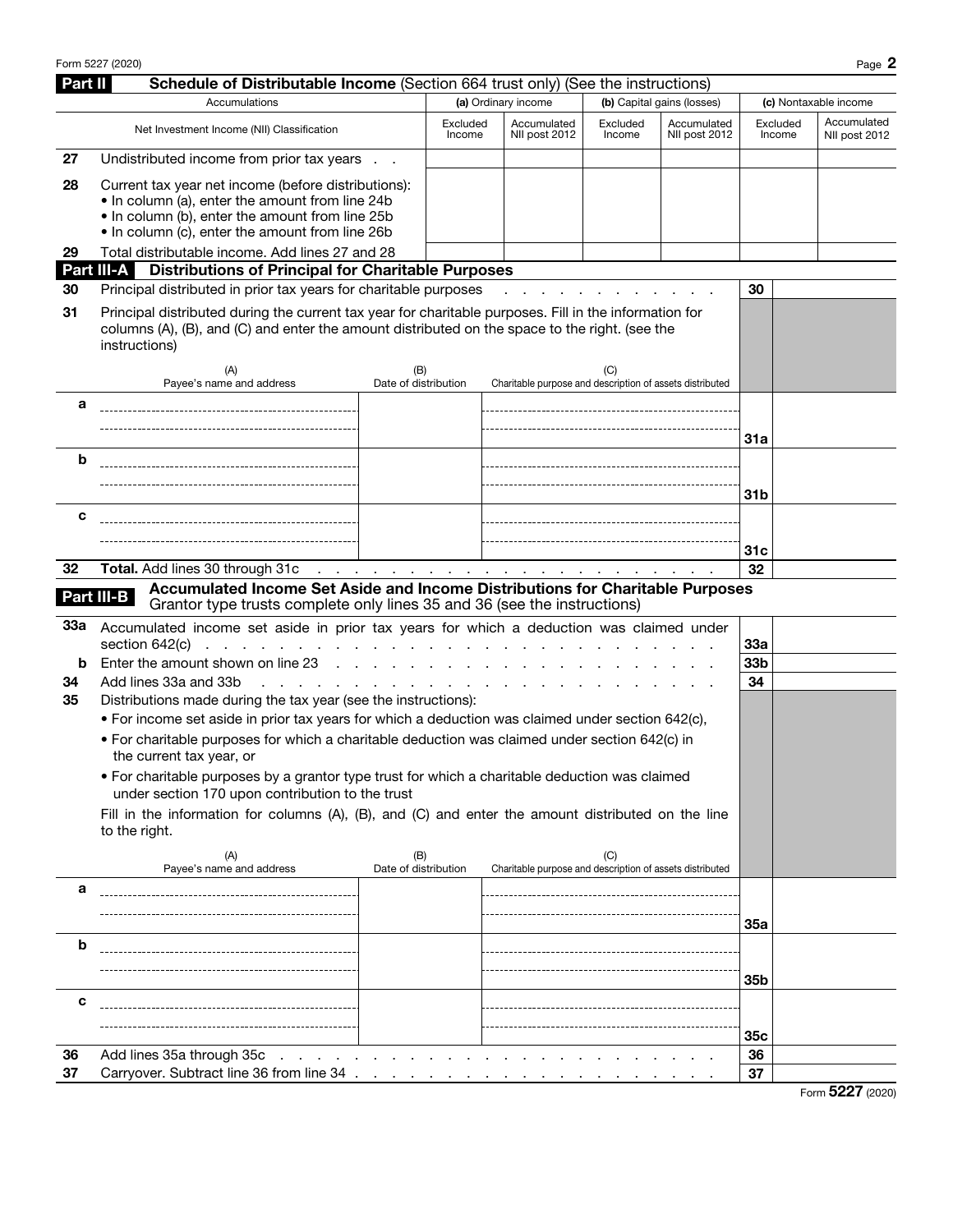Form 5227 (2020) Page 2

| Part II | Schedule of Distributable Income (Section 664 trust only) (See the instructions)                                                                                                                                                 |                                 |                          |  |                                                          |                                                    |                            |                       |  |                              |
|---------|----------------------------------------------------------------------------------------------------------------------------------------------------------------------------------------------------------------------------------|---------------------------------|--------------------------|--|----------------------------------------------------------|----------------------------------------------------|----------------------------|-----------------------|--|------------------------------|
|         | Accumulations                                                                                                                                                                                                                    |                                 |                          |  | (a) Ordinary income                                      |                                                    | (b) Capital gains (losses) | (c) Nontaxable income |  |                              |
|         | Net Investment Income (NII) Classification                                                                                                                                                                                       |                                 | Excluded<br>Income       |  | Accumulated<br>NII post 2012                             | Excluded<br>Accumulated<br>NII post 2012<br>Income |                            | Excluded<br>Income    |  | Accumulated<br>NII post 2012 |
| 27      | Undistributed income from prior tax years                                                                                                                                                                                        |                                 |                          |  |                                                          |                                                    |                            |                       |  |                              |
| 28      | Current tax year net income (before distributions):<br>. In column (a), enter the amount from line 24b<br>. In column (b), enter the amount from line 25b<br>• In column (c), enter the amount from line 26b                     |                                 |                          |  |                                                          |                                                    |                            |                       |  |                              |
| 29      | Total distributable income. Add lines 27 and 28                                                                                                                                                                                  |                                 |                          |  |                                                          |                                                    |                            |                       |  |                              |
| 30      | <b>Part III-A</b> Distributions of Principal for Charitable Purposes<br>Principal distributed in prior tax years for charitable purposes                                                                                         |                                 |                          |  |                                                          |                                                    |                            | 30                    |  |                              |
|         |                                                                                                                                                                                                                                  |                                 |                          |  |                                                          |                                                    |                            |                       |  |                              |
| 31      | Principal distributed during the current tax year for charitable purposes. Fill in the information for<br>columns (A), (B), and (C) and enter the amount distributed on the space to the right. (see the<br>instructions)<br>(A) | (B)                             |                          |  |                                                          | (C)                                                |                            |                       |  |                              |
|         | Payee's name and address                                                                                                                                                                                                         | Date of distribution            |                          |  | Charitable purpose and description of assets distributed |                                                    |                            |                       |  |                              |
| а       |                                                                                                                                                                                                                                  |                                 |                          |  |                                                          |                                                    |                            |                       |  |                              |
|         |                                                                                                                                                                                                                                  |                                 |                          |  |                                                          |                                                    |                            | 31a                   |  |                              |
| b       |                                                                                                                                                                                                                                  |                                 |                          |  |                                                          |                                                    |                            |                       |  |                              |
|         |                                                                                                                                                                                                                                  |                                 |                          |  |                                                          |                                                    |                            |                       |  |                              |
|         |                                                                                                                                                                                                                                  |                                 |                          |  |                                                          |                                                    |                            | 31b                   |  |                              |
| с       |                                                                                                                                                                                                                                  |                                 |                          |  |                                                          |                                                    |                            |                       |  |                              |
|         |                                                                                                                                                                                                                                  |                                 |                          |  |                                                          |                                                    |                            |                       |  |                              |
|         |                                                                                                                                                                                                                                  |                                 |                          |  |                                                          |                                                    |                            | 31c                   |  |                              |
|         | <b>Total.</b> Add lines 30 through 31c<br>32<br>the contract of the contract of the contract of the contract of the contract of<br>Accumulated Income Set Aside and Income Distributions for Charitable Purposes                 |                                 |                          |  |                                                          | 32                                                 |                            |                       |  |                              |
|         | Part III-B<br>Grantor type trusts complete only lines 35 and 36 (see the instructions)                                                                                                                                           |                                 |                          |  |                                                          |                                                    |                            |                       |  |                              |
| 33а     | Accumulated income set aside in prior tax years for which a deduction was claimed under                                                                                                                                          |                                 |                          |  |                                                          |                                                    |                            |                       |  |                              |
|         | section 642(c) $\ldots$ $\ldots$ $\ldots$ $\ldots$ $\ldots$ $\ldots$                                                                                                                                                             |                                 |                          |  |                                                          |                                                    |                            | 33a                   |  |                              |
| b       | Enter the amount shown on line 23                                                                                                                                                                                                | the contract of the contract of |                          |  |                                                          |                                                    |                            | 33 <sub>b</sub>       |  |                              |
| 34      | Add lines 33a and 33b<br>and a state of the contract and a state                                                                                                                                                                 |                                 |                          |  |                                                          |                                                    |                            | 34                    |  |                              |
| 35      | Distributions made during the tax year (see the instructions):                                                                                                                                                                   |                                 |                          |  |                                                          |                                                    |                            |                       |  |                              |
|         | • For income set aside in prior tax years for which a deduction was claimed under section 642(c),                                                                                                                                |                                 |                          |  |                                                          |                                                    |                            |                       |  |                              |
|         | • For charitable purposes for which a charitable deduction was claimed under section 642(c) in<br>the current tax year, or                                                                                                       |                                 |                          |  |                                                          |                                                    |                            |                       |  |                              |
|         | • For charitable purposes by a grantor type trust for which a charitable deduction was claimed<br>under section 170 upon contribution to the trust                                                                               |                                 |                          |  |                                                          |                                                    |                            |                       |  |                              |
|         | Fill in the information for columns (A), (B), and (C) and enter the amount distributed on the line<br>to the right.                                                                                                              |                                 |                          |  |                                                          |                                                    |                            |                       |  |                              |
|         | (A)<br>Payee's name and address                                                                                                                                                                                                  | (B)<br>Date of distribution     |                          |  | Charitable purpose and description of assets distributed | (C)                                                |                            |                       |  |                              |
| а       |                                                                                                                                                                                                                                  |                                 |                          |  |                                                          |                                                    |                            |                       |  |                              |
|         |                                                                                                                                                                                                                                  |                                 |                          |  |                                                          |                                                    |                            | 35a                   |  |                              |
| b       |                                                                                                                                                                                                                                  |                                 |                          |  |                                                          |                                                    |                            |                       |  |                              |
|         |                                                                                                                                                                                                                                  |                                 |                          |  |                                                          |                                                    |                            |                       |  |                              |
|         |                                                                                                                                                                                                                                  |                                 |                          |  |                                                          |                                                    |                            | 35 <sub>b</sub>       |  |                              |
| с       |                                                                                                                                                                                                                                  |                                 |                          |  |                                                          |                                                    |                            |                       |  |                              |
|         |                                                                                                                                                                                                                                  |                                 |                          |  |                                                          |                                                    |                            | 35c                   |  |                              |
| 36      | Add lines 35a through 35c                                                                                                                                                                                                        |                                 |                          |  |                                                          |                                                    |                            | 36                    |  |                              |
| 37      | Carryover. Subtract line 36 from line 34 .                                                                                                                                                                                       |                                 | <b>Contract Contract</b> |  |                                                          |                                                    |                            | 37                    |  |                              |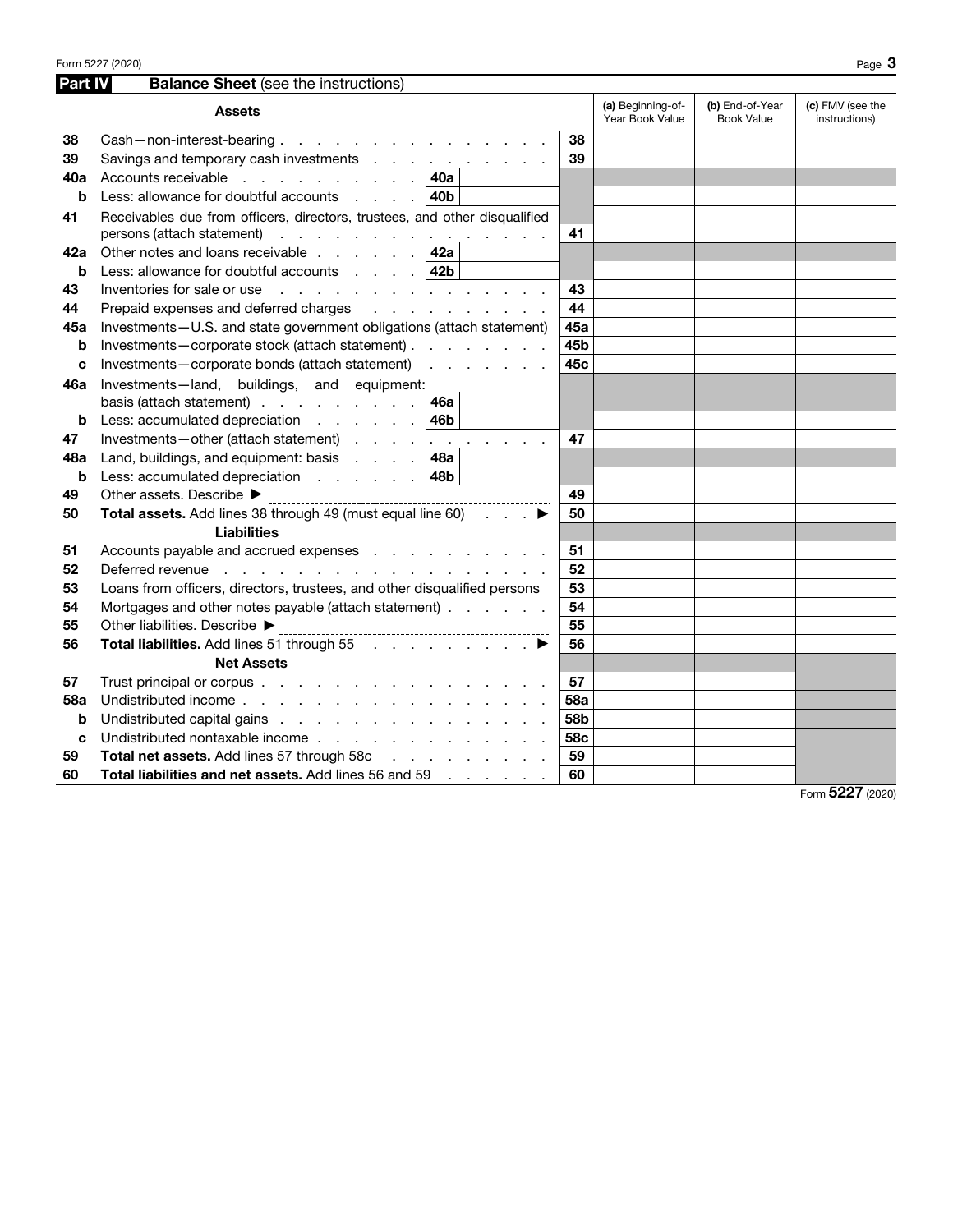| Part IV    | <b>Balance Sheet</b> (see the instructions)                                                                                         |            |                                      |                                      |                                   |
|------------|-------------------------------------------------------------------------------------------------------------------------------------|------------|--------------------------------------|--------------------------------------|-----------------------------------|
|            | <b>Assets</b>                                                                                                                       |            | (a) Beginning-of-<br>Year Book Value | (b) End-of-Year<br><b>Book Value</b> | (c) FMV (see the<br>instructions) |
| 38         | Cash-non-interest-bearing.                                                                                                          | 38         |                                      |                                      |                                   |
| 39         | Savings and temporary cash investments                                                                                              | 39         |                                      |                                      |                                   |
| 40a        | Accounts receivable  <br>40a                                                                                                        |            |                                      |                                      |                                   |
| b          | Less: allowance for doubtful accounts<br>40b                                                                                        |            |                                      |                                      |                                   |
| 41         | Receivables due from officers, directors, trustees, and other disqualified                                                          |            |                                      |                                      |                                   |
|            | persons (attach statement)                                                                                                          | 41         |                                      |                                      |                                   |
| 42a        | Other notes and loans receivable $\ldots$ $\ldots$ $\vert$ 42a                                                                      |            |                                      |                                      |                                   |
| b          | Less: allowance for doubtful accounts $\therefore$ 42b                                                                              |            |                                      |                                      |                                   |
| 43         | Inventories for sale or use $\qquad \qquad \ldots \qquad \qquad \ldots \qquad \qquad \ldots \qquad \ldots$                          | 43         |                                      |                                      |                                   |
| 44         | Prepaid expenses and deferred charges<br>and the contract of the contract of                                                        | 44         |                                      |                                      |                                   |
| 45а        | Investments-U.S. and state government obligations (attach statement)                                                                | 45a        |                                      |                                      |                                   |
| b          | Investments-corporate stock (attach statement)                                                                                      | 45b        |                                      |                                      |                                   |
| C          | Investments-corporate bonds (attach statement)                                                                                      | 45c        |                                      |                                      |                                   |
| 46a        | Investments-land, buildings, and equipment:                                                                                         |            |                                      |                                      |                                   |
|            | basis (attach statement) $\ldots$ $\ldots$ $\ldots$ $\ldots$   46a                                                                  |            |                                      |                                      |                                   |
| b          | 46b<br>Less: accumulated depreciation                                                                                               |            |                                      |                                      |                                   |
| 47         | Investments-other (attach statement)<br>and the company                                                                             | 47         |                                      |                                      |                                   |
| 48a        | Land, buildings, and equipment: basis $\ldots$ . $\vert$ 48a                                                                        |            |                                      |                                      |                                   |
| b          | 48 <b>b</b><br>Less: accumulated depreciation $\ldots$ $\ldots$                                                                     |            |                                      |                                      |                                   |
| 49         | Other assets. Describe ▶                                                                                                            | 49         |                                      |                                      |                                   |
| 50         | Total assets. Add lines 38 through 49 (must equal line 60)<br>$\ldots$ $\blacktriangleright$                                        | 50         |                                      |                                      |                                   |
|            | <b>Liabilities</b>                                                                                                                  |            |                                      |                                      |                                   |
| 51         | Accounts payable and accrued expenses                                                                                               | 51         |                                      |                                      |                                   |
| 52         | Deferred revenue<br>the contract of the contract of the contract of the contract of the contract of the contract of the contract of | 52         |                                      |                                      |                                   |
| 53         | Loans from officers, directors, trustees, and other disqualified persons                                                            | 53         |                                      |                                      |                                   |
| 54         | Mortgages and other notes payable (attach statement)                                                                                | 54         |                                      |                                      |                                   |
| 55         | Other liabilities. Describe ▶                                                                                                       | 55         |                                      |                                      |                                   |
| 56         | Total liabilities. Add lines 51 through 55 ▶                                                                                        | 56         |                                      |                                      |                                   |
|            | <b>Net Assets</b>                                                                                                                   |            |                                      |                                      |                                   |
| 57         | Trust principal or corpus                                                                                                           | 57         |                                      |                                      |                                   |
| <b>58a</b> | Undistributed income                                                                                                                | <b>58a</b> |                                      |                                      |                                   |
| b          | Undistributed capital gains                                                                                                         | 58b        |                                      |                                      |                                   |
| C          | Undistributed nontaxable income                                                                                                     | 58c        |                                      |                                      |                                   |
| 59         | Total net assets. Add lines 57 through 58c                                                                                          | 59         |                                      |                                      |                                   |
| 60         | Total liabilities and net assets. Add lines 56 and 59                                                                               | 60         |                                      |                                      |                                   |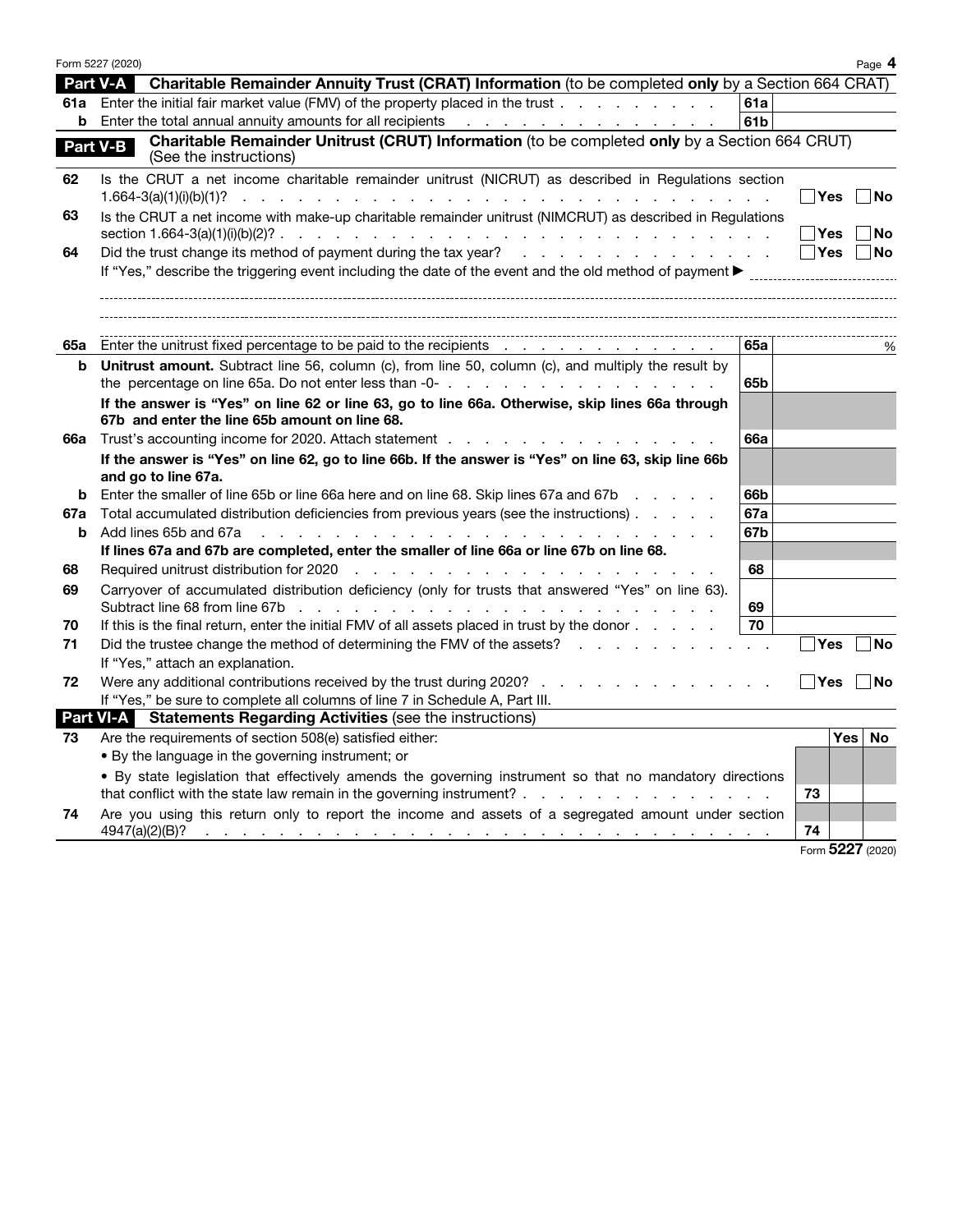|     | Form 5227 (2020)                                                                                                                                                                                                                                                                                  |                 |            | Page 4   |
|-----|---------------------------------------------------------------------------------------------------------------------------------------------------------------------------------------------------------------------------------------------------------------------------------------------------|-----------------|------------|----------|
|     | Part V-A<br>Charitable Remainder Annuity Trust (CRAT) Information (to be completed only by a Section 664 CRAT)                                                                                                                                                                                    |                 |            |          |
|     | 61a Enter the initial fair market value (FMV) of the property placed in the trust                                                                                                                                                                                                                 | 61a             |            |          |
| b   | Enter the total annual annuity amounts for all recipients<br>the contract of the contract of the contract of the                                                                                                                                                                                  | 61b             |            |          |
|     | Charitable Remainder Unitrust (CRUT) Information (to be completed only by a Section 664 CRUT)<br>Part V-B<br>(See the instructions)                                                                                                                                                               |                 |            |          |
| 62  | Is the CRUT a net income charitable remainder unitrust (NICRUT) as described in Regulations section<br>$1.664 - 3(a)(1)(i)(b)(1)?$                                                                                                                                                                |                 | Yes        | No       |
| 63  | Is the CRUT a net income with make-up charitable remainder unitrust (NIMCRUT) as described in Regulations                                                                                                                                                                                         |                 | Yes        | No       |
| 64  | Did the trust change its method of payment during the tax year?<br>and the company of the company of the company of the company of the company of the company of the company of the company of the company of the company of the company of the company of the company of the company of the comp |                 | <b>Yes</b> | No       |
|     | If "Yes," describe the triggering event including the date of the event and the old method of payment $\blacktriangleright$                                                                                                                                                                       |                 |            |          |
| 65а | Enter the unitrust fixed percentage to be paid to the recipients<br>$\mathcal{L}=\mathcal{L}$                                                                                                                                                                                                     | 65a             |            | %        |
| b   | Unitrust amount. Subtract line 56, column (c), from line 50, column (c), and multiply the result by                                                                                                                                                                                               | 65 <sub>b</sub> |            |          |
|     | If the answer is "Yes" on line 62 or line 63, go to line 66a. Otherwise, skip lines 66a through<br>67b and enter the line 65b amount on line 68.                                                                                                                                                  |                 |            |          |
| 66a | Trust's accounting income for 2020. Attach statement                                                                                                                                                                                                                                              | <b>66a</b>      |            |          |
|     | If the answer is "Yes" on line 62, go to line 66b. If the answer is "Yes" on line 63, skip line 66b<br>and go to line 67a.                                                                                                                                                                        |                 |            |          |
| b   | Enter the smaller of line 65b or line 66a here and on line 68. Skip lines 67a and 67b                                                                                                                                                                                                             | 66b             |            |          |
| 67a | Total accumulated distribution deficiencies from previous years (see the instructions)                                                                                                                                                                                                            | 67a             |            |          |
| b   | Add lines 65b and 67a<br>the contract of the contract of the contract of the contract of the contract of the contract of the contract of                                                                                                                                                          | 67b             |            |          |
|     | If lines 67a and 67b are completed, enter the smaller of line 66a or line 67b on line 68.                                                                                                                                                                                                         |                 |            |          |
| 68  |                                                                                                                                                                                                                                                                                                   | 68              |            |          |
| 69  | Carryover of accumulated distribution deficiency (only for trusts that answered "Yes" on line 63).                                                                                                                                                                                                |                 |            |          |
|     | Subtract line 68 from line 67b<br>the contract of the contract of the contract of the contract of the contract of the contract of the contract of                                                                                                                                                 | 69              |            |          |
| 70  | If this is the final return, enter the initial FMV of all assets placed in trust by the donor                                                                                                                                                                                                     | 70              |            |          |
| 71  | Did the trustee change the method of determining the FMV of the assets?                                                                                                                                                                                                                           |                 | Yes        | No       |
|     | If "Yes," attach an explanation.                                                                                                                                                                                                                                                                  |                 |            |          |
| 72  | Were any additional contributions received by the trust during 2020?                                                                                                                                                                                                                              |                 | Yes        | No       |
|     | If "Yes," be sure to complete all columns of line 7 in Schedule A, Part III.                                                                                                                                                                                                                      |                 |            |          |
|     | Part VI-A Statements Regarding Activities (see the instructions)                                                                                                                                                                                                                                  |                 |            |          |
| 73  | Are the requirements of section 508(e) satisfied either:                                                                                                                                                                                                                                          |                 |            | Yes   No |
|     | • By the language in the governing instrument; or                                                                                                                                                                                                                                                 |                 |            |          |
|     | . By state legislation that effectively amends the governing instrument so that no mandatory directions                                                                                                                                                                                           |                 |            |          |
|     | that conflict with the state law remain in the governing instrument?                                                                                                                                                                                                                              |                 | 73         |          |
| 74  | Are you using this return only to report the income and assets of a segregated amount under section                                                                                                                                                                                               |                 | 74<br>EOO7 |          |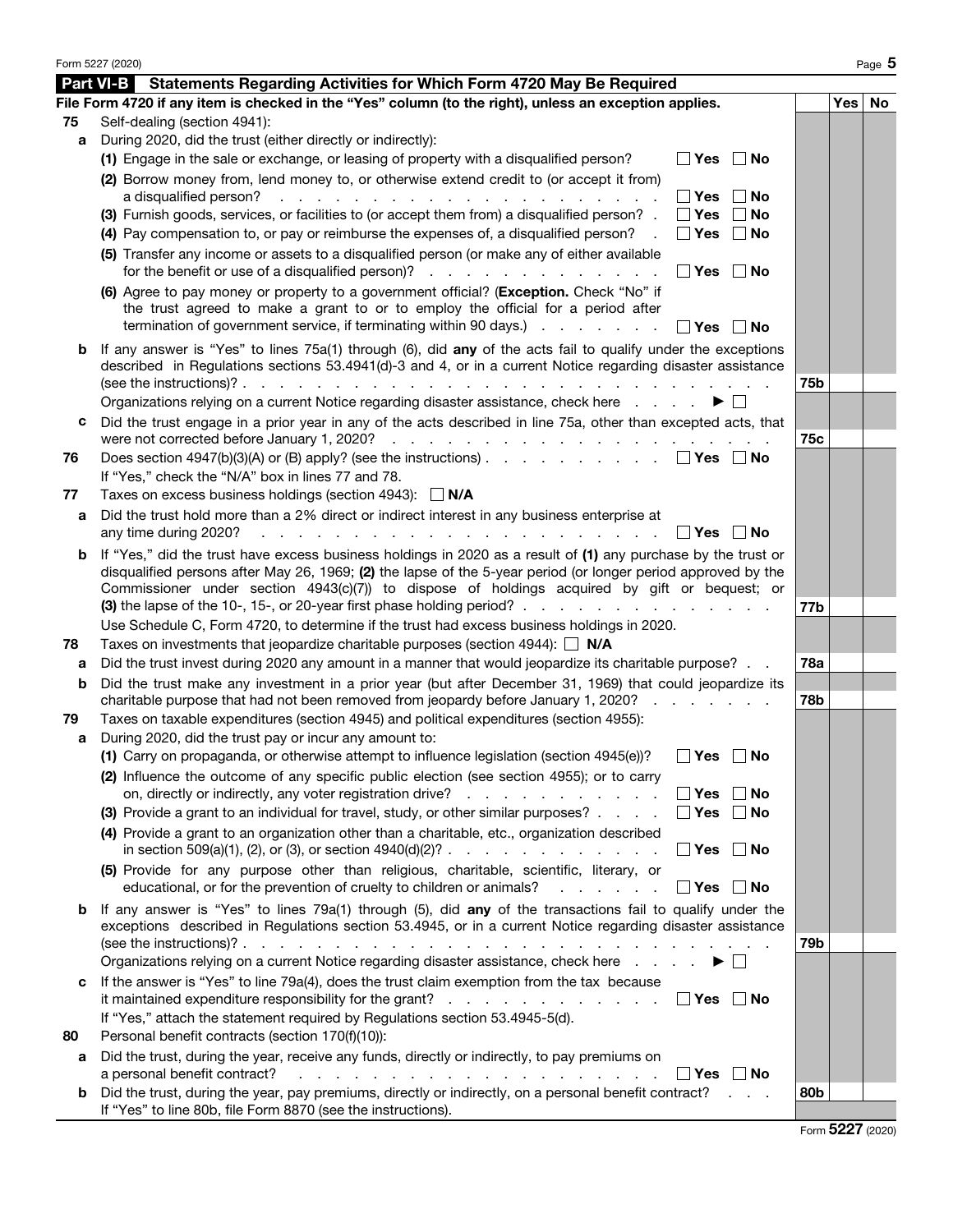|    | Form 5227 (2020)                                                                                                                                                                                                                                                                                                                |            |          | Page 5 |
|----|---------------------------------------------------------------------------------------------------------------------------------------------------------------------------------------------------------------------------------------------------------------------------------------------------------------------------------|------------|----------|--------|
|    | <b>Part VI-B</b><br>Statements Regarding Activities for Which Form 4720 May Be Required                                                                                                                                                                                                                                         |            |          |        |
|    | File Form 4720 if any item is checked in the "Yes" column (to the right), unless an exception applies.                                                                                                                                                                                                                          |            | Yes   No |        |
| 75 | Self-dealing (section 4941):                                                                                                                                                                                                                                                                                                    |            |          |        |
| a  | During 2020, did the trust (either directly or indirectly):                                                                                                                                                                                                                                                                     |            |          |        |
|    | (1) Engage in the sale or exchange, or leasing of property with a disqualified person?<br>∣ ∣Yes<br>∣No                                                                                                                                                                                                                         |            |          |        |
|    | (2) Borrow money from, lend money to, or otherwise extend credit to (or accept it from)                                                                                                                                                                                                                                         |            |          |        |
|    | Yes<br>a disqualified person?<br>No<br>a construction of the contract of the construction of the construction of the construction of the construction of the construction of the construction of the construction of the construction of the construction of the cons                                                           |            |          |        |
|    | (3) Furnish goods, services, or facilities to (or accept them from) a disqualified person? .<br>Yes<br>No                                                                                                                                                                                                                       |            |          |        |
|    | (4) Pay compensation to, or pay or reimburse the expenses of, a disqualified person?<br><b>Yes</b><br>No                                                                                                                                                                                                                        |            |          |        |
|    | (5) Transfer any income or assets to a disqualified person (or make any of either available<br>for the benefit or use of a disqualified person)?<br>∣ No<br>∣ ∣Yes                                                                                                                                                              |            |          |        |
|    | (6) Agree to pay money or property to a government official? (Exception. Check "No" if<br>the trust agreed to make a grant to or to employ the official for a period after<br>termination of government service, if terminating within 90 days.)<br>Yes<br>l No                                                                 |            |          |        |
| b  | If any answer is "Yes" to lines 75a(1) through (6), did any of the acts fail to qualify under the exceptions<br>described in Regulations sections 53.4941(d)-3 and 4, or in a current Notice regarding disaster assistance                                                                                                      |            |          |        |
|    |                                                                                                                                                                                                                                                                                                                                 | 75b        |          |        |
|    | Organizations relying on a current Notice regarding disaster assistance, check here                                                                                                                                                                                                                                             |            |          |        |
| с  | Did the trust engage in a prior year in any of the acts described in line 75a, other than excepted acts, that                                                                                                                                                                                                                   | 75c        |          |        |
| 76 | Does section 4947(b)(3)(A) or (B) apply? (see the instructions) $\Box$ Yes $\Box$ No                                                                                                                                                                                                                                            |            |          |        |
|    | If "Yes," check the "N/A" box in lines 77 and 78.                                                                                                                                                                                                                                                                               |            |          |        |
| 77 | Taxes on excess business holdings (section 4943): $\Box$ N/A                                                                                                                                                                                                                                                                    |            |          |        |
| a  | Did the trust hold more than a 2% direct or indirect interest in any business enterprise at                                                                                                                                                                                                                                     |            |          |        |
|    | any time during 2020?<br>∣Yes ∣<br>∣No                                                                                                                                                                                                                                                                                          |            |          |        |
| b  | If "Yes," did the trust have excess business holdings in 2020 as a result of (1) any purchase by the trust or<br>disqualified persons after May 26, 1969; (2) the lapse of the 5-year period (or longer period approved by the<br>Commissioner under section 4943(c)(7)) to dispose of holdings acquired by gift or bequest; or |            |          |        |
|    | (3) the lapse of the 10-, 15-, or 20-year first phase holding period? $\ldots$ , $\ldots$ , $\ldots$ , $\ldots$ , $\ldots$                                                                                                                                                                                                      | 77b        |          |        |
|    | Use Schedule C, Form 4720, to determine if the trust had excess business holdings in 2020.                                                                                                                                                                                                                                      |            |          |        |
| 78 | Taxes on investments that jeopardize charitable purposes (section 4944): $\Box$ N/A                                                                                                                                                                                                                                             |            |          |        |
| а  | Did the trust invest during 2020 any amount in a manner that would jeopardize its charitable purpose?                                                                                                                                                                                                                           | <b>78a</b> |          |        |
| b  | Did the trust make any investment in a prior year (but after December 31, 1969) that could jeopardize its<br>charitable purpose that had not been removed from jeopardy before January 1, 2020?                                                                                                                                 | 78b        |          |        |
| 79 | Taxes on taxable expenditures (section 4945) and political expenditures (section 4955):                                                                                                                                                                                                                                         |            |          |        |
| a  | During 2020, did the trust pay or incur any amount to:                                                                                                                                                                                                                                                                          |            |          |        |
|    | (1) Carry on propaganda, or otherwise attempt to influence legislation (section 4945(e))?<br>$\Box$ Yes $\Box$ No                                                                                                                                                                                                               |            |          |        |
|    | (2) Influence the outcome of any specific public election (see section 4955); or to carry                                                                                                                                                                                                                                       |            |          |        |
|    | on, directly or indirectly, any voter registration drive?<br>$\blacksquare$ Yes<br>  No                                                                                                                                                                                                                                         |            |          |        |
|    | (3) Provide a grant to an individual for travel, study, or other similar purposes?<br>$\blacksquare$ Yes<br>∣No                                                                                                                                                                                                                 |            |          |        |
|    | (4) Provide a grant to an organization other than a charitable, etc., organization described<br>in section 509(a)(1), (2), or (3), or section $4940(d)(2)$ ?<br>∣ No<br>$\Box$ Yes                                                                                                                                              |            |          |        |
|    | (5) Provide for any purpose other than religious, charitable, scientific, literary, or<br>educational, or for the prevention of cruelty to children or animals?<br>  Yes   No                                                                                                                                                   |            |          |        |
| b  | If any answer is "Yes" to lines 79a(1) through (5), did any of the transactions fail to qualify under the                                                                                                                                                                                                                       |            |          |        |
|    | exceptions described in Regulations section 53.4945, or in a current Notice regarding disaster assistance                                                                                                                                                                                                                       |            |          |        |
|    |                                                                                                                                                                                                                                                                                                                                 | 79b        |          |        |
|    | Organizations relying on a current Notice regarding disaster assistance, check here                                                                                                                                                                                                                                             |            |          |        |
| c  | If the answer is "Yes" to line 79a(4), does the trust claim exemption from the tax because                                                                                                                                                                                                                                      |            |          |        |
|    | it maintained expenditure responsibility for the grant? $\ldots$ , $\ldots$ , $\ldots$ , $\ldots$ , $\Box$ Yes<br>∣No                                                                                                                                                                                                           |            |          |        |
|    | If "Yes," attach the statement required by Regulations section 53.4945-5(d).                                                                                                                                                                                                                                                    |            |          |        |
| 80 | Personal benefit contracts (section 170(f)(10)):                                                                                                                                                                                                                                                                                |            |          |        |
| а  | Did the trust, during the year, receive any funds, directly or indirectly, to pay premiums on                                                                                                                                                                                                                                   |            |          |        |
|    | a personal benefit contract?<br>$\blacksquare$ Yes<br>∣No<br>a construction of the construction of the construction of the construction of the construction of the construction of the construction of the construction of the construction of the construction of the construction of the                                      |            |          |        |
|    | b Did the trust, during the year, pay premiums, directly or indirectly, on a personal benefit contract?                                                                                                                                                                                                                         | 80b        |          |        |
|    | If "Yes" to line 80b, file Form 8870 (see the instructions).                                                                                                                                                                                                                                                                    |            |          |        |

Form 5227 (2020)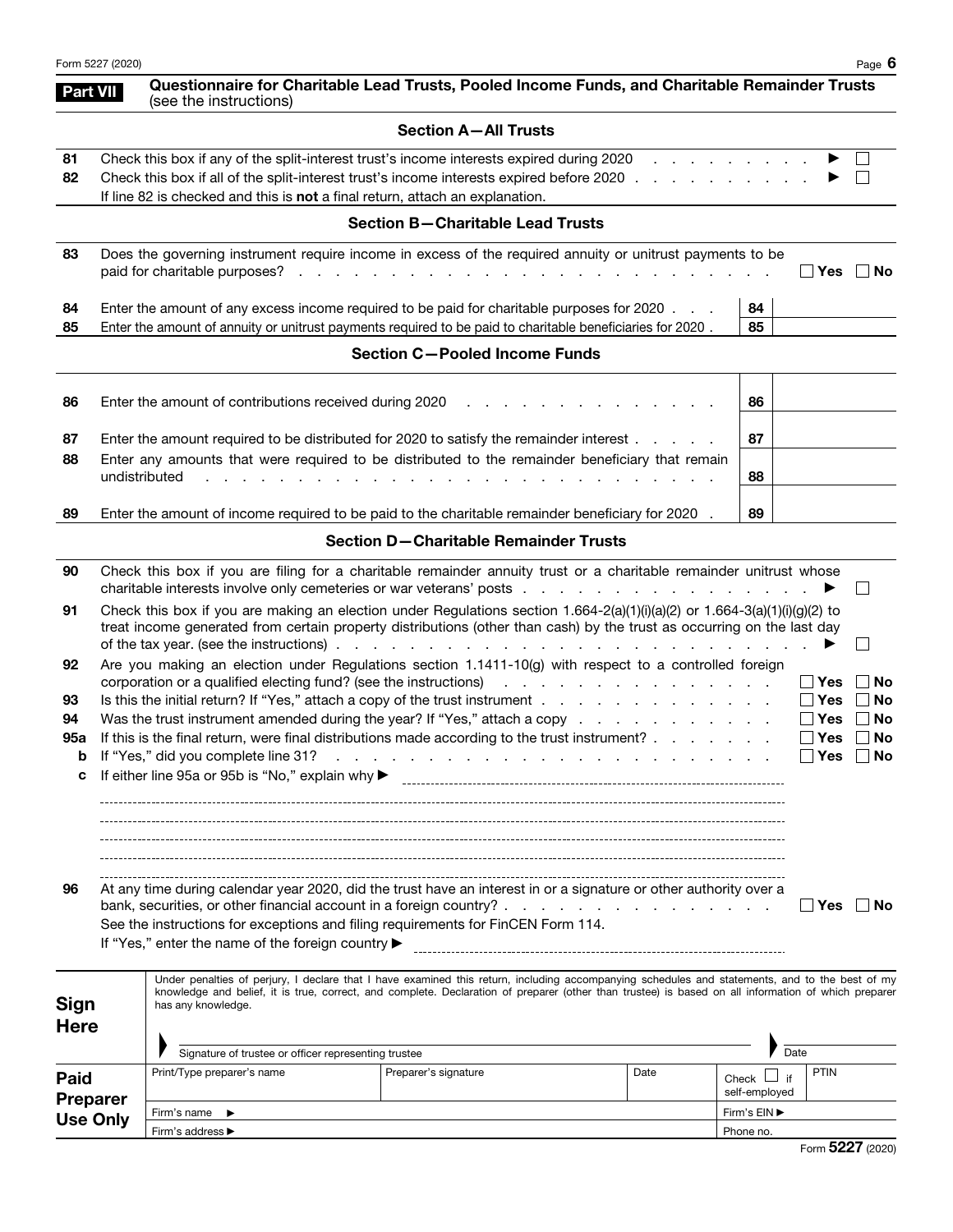|                            | Form 5227 (2020)                                                                                                                     |                                                                                                 |                                                                                                                                                                                                                                                                                                                                                                    |      |                                |                  | Page 6                   |  |
|----------------------------|--------------------------------------------------------------------------------------------------------------------------------------|-------------------------------------------------------------------------------------------------|--------------------------------------------------------------------------------------------------------------------------------------------------------------------------------------------------------------------------------------------------------------------------------------------------------------------------------------------------------------------|------|--------------------------------|------------------|--------------------------|--|
|                            | <b>Part VII</b>                                                                                                                      | (see the instructions)                                                                          | Questionnaire for Charitable Lead Trusts, Pooled Income Funds, and Charitable Remainder Trusts                                                                                                                                                                                                                                                                     |      |                                |                  |                          |  |
|                            |                                                                                                                                      |                                                                                                 | <b>Section A-All Trusts</b>                                                                                                                                                                                                                                                                                                                                        |      |                                |                  |                          |  |
| 81<br>82                   |                                                                                                                                      | If line 82 is checked and this is not a final return, attach an explanation.                    | Check this box if any of the split-interest trust's income interests expired during 2020<br>Check this box if all of the split-interest trust's income interests expired before 2020                                                                                                                                                                               |      | and a strain and a strain and  |                  |                          |  |
|                            |                                                                                                                                      |                                                                                                 | <b>Section B-Charitable Lead Trusts</b>                                                                                                                                                                                                                                                                                                                            |      |                                |                  |                          |  |
| 83                         |                                                                                                                                      | paid for charitable purposes?                                                                   | Does the governing instrument require income in excess of the required annuity or unitrust payments to be                                                                                                                                                                                                                                                          |      |                                | Yes   No         |                          |  |
| 84<br>85                   |                                                                                                                                      |                                                                                                 | Enter the amount of any excess income required to be paid for charitable purposes for 2020.<br>Enter the amount of annuity or unitrust payments required to be paid to charitable beneficiaries for 2020.                                                                                                                                                          |      | 84<br>85                       |                  |                          |  |
|                            |                                                                                                                                      |                                                                                                 | <b>Section C-Pooled Income Funds</b>                                                                                                                                                                                                                                                                                                                               |      |                                |                  |                          |  |
| 86                         |                                                                                                                                      | Enter the amount of contributions received during 2020                                          |                                                                                                                                                                                                                                                                                                                                                                    |      | 86                             |                  |                          |  |
| 87                         | Enter the amount required to be distributed for 2020 to satisfy the remainder interest                                               | 87                                                                                              |                                                                                                                                                                                                                                                                                                                                                                    |      |                                |                  |                          |  |
| 88                         | undistributed                                                                                                                        | Enter any amounts that were required to be distributed to the remainder beneficiary that remain | 88                                                                                                                                                                                                                                                                                                                                                                 |      |                                |                  |                          |  |
| 89                         |                                                                                                                                      |                                                                                                 | Enter the amount of income required to be paid to the charitable remainder beneficiary for 2020                                                                                                                                                                                                                                                                    |      | 89                             |                  |                          |  |
|                            |                                                                                                                                      |                                                                                                 | <b>Section D-Charitable Remainder Trusts</b>                                                                                                                                                                                                                                                                                                                       |      |                                |                  |                          |  |
| 90                         |                                                                                                                                      |                                                                                                 | Check this box if you are filing for a charitable remainder annuity trust or a charitable remainder unitrust whose                                                                                                                                                                                                                                                 |      |                                |                  | $\Box$                   |  |
| 91                         |                                                                                                                                      |                                                                                                 | Check this box if you are making an election under Regulations section $1.664-2(a)(1)(i)(a)(2)$ or $1.664-3(a)(1)(i)(g)(2)$ to<br>treat income generated from certain property distributions (other than cash) by the trust as occurring on the last day<br>of the tax year. (see the instructions) $\cdots$ $\cdots$ $\cdots$ $\cdots$ $\cdots$ $\cdots$ $\cdots$ |      |                                |                  |                          |  |
| 92                         |                                                                                                                                      |                                                                                                 | Are you making an election under Regulations section 1.1411-10(g) with respect to a controlled foreign<br>corporation or a qualified electing fund? (see the instructions) and a contract of the contract of the instructions)                                                                                                                                     |      |                                | ∣ ∣ Yes          | No                       |  |
| 93                         |                                                                                                                                      |                                                                                                 | Is this the initial return? If "Yes," attach a copy of the trust instrument                                                                                                                                                                                                                                                                                        |      |                                | $\Box$ Yes       | No                       |  |
| 94<br>95а                  |                                                                                                                                      |                                                                                                 | Was the trust instrument amended during the year? If "Yes," attach a copy<br>If this is the final return, were final distributions made according to the trust instrument?                                                                                                                                                                                         |      |                                | ∣ ∣Yes<br>∣ ∣Yes | No<br>No<br>$\mathbf{I}$ |  |
| b                          |                                                                                                                                      | If "Yes," did you complete line 31?                                                             | the contract of the contract of the contract of the contract of the contract of                                                                                                                                                                                                                                                                                    |      |                                | Yes              | $\Box$ No                |  |
|                            |                                                                                                                                      | If either line 95a or 95b is "No," explain why ▶                                                |                                                                                                                                                                                                                                                                                                                                                                    |      |                                |                  |                          |  |
|                            |                                                                                                                                      |                                                                                                 |                                                                                                                                                                                                                                                                                                                                                                    |      |                                |                  |                          |  |
|                            |                                                                                                                                      |                                                                                                 |                                                                                                                                                                                                                                                                                                                                                                    |      |                                |                  |                          |  |
|                            |                                                                                                                                      |                                                                                                 |                                                                                                                                                                                                                                                                                                                                                                    |      |                                |                  |                          |  |
| 96                         | At any time during calendar year 2020, did the trust have an interest in or a signature or other authority over a<br>∣ lYes<br>∣ ∣No |                                                                                                 |                                                                                                                                                                                                                                                                                                                                                                    |      |                                |                  |                          |  |
|                            |                                                                                                                                      |                                                                                                 | See the instructions for exceptions and filing requirements for FinCEN Form 114.                                                                                                                                                                                                                                                                                   |      |                                |                  |                          |  |
|                            |                                                                                                                                      | If "Yes," enter the name of the foreign country ▶                                               |                                                                                                                                                                                                                                                                                                                                                                    |      |                                |                  |                          |  |
| <b>Sign</b><br><b>Here</b> |                                                                                                                                      | has any knowledge.                                                                              | Under penalties of perjury, I declare that I have examined this return, including accompanying schedules and statements, and to the best of my<br>knowledge and belief, it is true, correct, and complete. Declaration of preparer (other than trustee) is based on all information of which preparer                                                              |      |                                |                  |                          |  |
|                            |                                                                                                                                      | Signature of trustee or officer representing trustee                                            |                                                                                                                                                                                                                                                                                                                                                                    |      | Date                           |                  |                          |  |
| Paid                       |                                                                                                                                      | Print/Type preparer's name                                                                      | Preparer's signature                                                                                                                                                                                                                                                                                                                                               | Date | Check L<br>if<br>self-employed | <b>PTIN</b>      |                          |  |
| <b>Preparer</b>            |                                                                                                                                      | Firm's name ▶                                                                                   |                                                                                                                                                                                                                                                                                                                                                                    |      | Firm's EIN ▶                   |                  |                          |  |
| <b>Use Only</b>            |                                                                                                                                      | Firm's address ▶                                                                                |                                                                                                                                                                                                                                                                                                                                                                    |      | Phone no.                      |                  |                          |  |